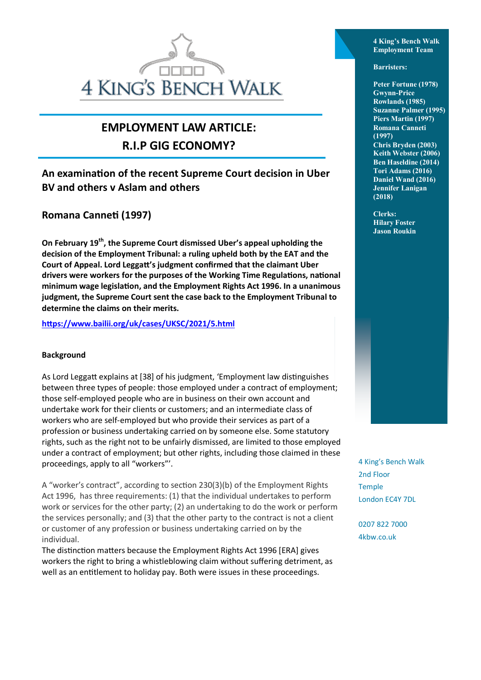## **4 KING'S BENCH WALK**

### **EMPLOYMENT LAW ARTICLE: R.I.P GIG ECONOMY?**

### **An examination of the recent Supreme Court decision in Uber BV and others v Aslam and others**

**Romana Canneti (1997)**

**On February 19th, the Supreme Court dismissed Uber's appeal upholding the decision of the Employment Tribunal: a ruling upheld both by the EAT and the Court of Appeal. Lord Leggatt's judgment confirmed that the claimant Uber drivers were workers for the purposes of the Working Time Regulations, national minimum wage legislation, and the Employment Rights Act 1996. In a unanimous judgment, the Supreme Court sent the case back to the Employment Tribunal to determine the claims on their merits.**

**<https://www.bailii.org/uk/cases/UKSC/2021/5.html>**

### **Background**

As Lord Leggatt explains at [38] of his judgment, 'Employment law distinguishes between three types of people: those employed under a contract of employment; those self-employed people who are in business on their own account and undertake work for their clients or customers; and an intermediate class of workers who are self-employed but who provide their services as part of a profession or business undertaking carried on by someone else. Some statutory rights, such as the right not to be unfairly dismissed, are limited to those employed under a contract of employment; but other rights, including those claimed in these proceedings, apply to all "workers"'.

A "worker's contract", according to section 230(3)(b) of the Employment Rights Act 1996, has three requirements: (1) that the individual undertakes to perform work or services for the other party; (2) an undertaking to do the work or perform the services personally; and (3) that the other party to the contract is not a client or customer of any profession or business undertaking carried on by the individual.

The distinction matters because the Employment Rights Act 1996 [ERA] gives workers the right to bring a whistleblowing claim without suffering detriment, as well as an entitlement to holiday pay. Both were issues in these proceedings.

**4 King's Bench Walk Employment Team** 

**Barristers:**

**Peter Fortune (1978) Gwynn-Price Rowlands (1985) Suzanne Palmer (1995) Piers Martin (1997) Romana Canneti (1997) Chris Bryden (2003) Keith Webster (2006) Ben Haseldine (2014) Tori Adams (2016) Daniel Wand (2016) Jennifer Lanigan (2018)** 

**Clerks: Hilary Foster Jason Roukin**

4 King's Bench Walk 2nd Floor Temple London EC4Y 7DL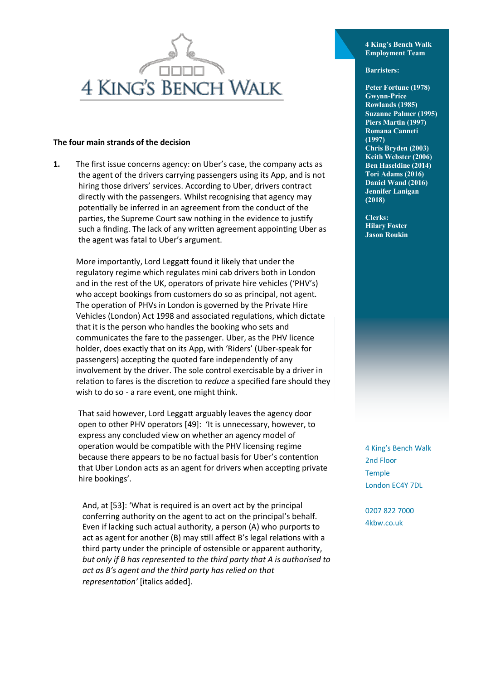

#### **The four main strands of the decision**

**1.** The first issue concerns agency: on Uber's case, the company acts as the agent of the drivers carrying passengers using its App, and is not hiring those drivers' services. According to Uber, drivers contract directly with the passengers. Whilst recognising that agency may potentially be inferred in an agreement from the conduct of the parties, the Supreme Court saw nothing in the evidence to justify such a finding. The lack of any written agreement appointing Uber as the agent was fatal to Uber's argument.

More importantly, Lord Leggatt found it likely that under the regulatory regime which regulates mini cab drivers both in London and in the rest of the UK, operators of private hire vehicles ('PHV's) who accept bookings from customers do so as principal, not agent. The operation of PHVs in London is governed by the Private Hire Vehicles (London) Act 1998 and associated regulations, which dictate that it is the person who handles the booking who sets and communicates the fare to the passenger. Uber, as the PHV licence holder, does exactly that on its App, with 'Riders' (Uber-speak for passengers) accepting the quoted fare independently of any involvement by the driver. The sole control exercisable by a driver in relation to fares is the discretion to *reduce* a specified fare should they wish to do so - a rare event, one might think.

That said however, Lord Leggatt arguably leaves the agency door open to other PHV operators [49]: 'It is unnecessary, however, to express any concluded view on whether an agency model of operation would be compatible with the PHV licensing regime because there appears to be no factual basis for Uber's contention that Uber London acts as an agent for drivers when accepting private hire bookings'.

And, at [53]: 'What is required is an overt act by the principal conferring authority on the agent to act on the principal's behalf. Even if lacking such actual authority, a person (A) who purports to act as agent for another (B) may still affect B's legal relations with a third party under the principle of ostensible or apparent authority, *but only if B has represented to the third party that A is authorised to act as B's agent and the third party has relied on that representation'* [italics added].

**4 King's Bench Walk Employment Team** 

**Barristers:**

**Peter Fortune (1978) Gwynn-Price Rowlands (1985) Suzanne Palmer (1995) Piers Martin (1997) Romana Canneti (1997) Chris Bryden (2003) Keith Webster (2006) Ben Haseldine (2014) Tori Adams (2016) Daniel Wand (2016) Jennifer Lanigan (2018)** 

**Clerks: Hilary Foster Jason Roukin** 

4 King's Bench Walk 2nd Floor Temple London EC4Y 7DL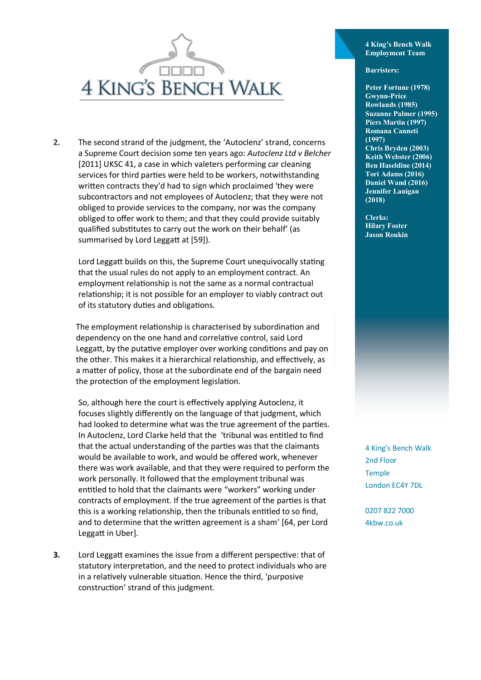

**2.** The second strand of the judgment, the 'Autoclenz' strand, concerns a Supreme Court decision some ten years ago: *Autoclenz Ltd v Belcher* [2011] UKSC 41, a case in which valeters performing car cleaning services for third parties were held to be workers, notwithstanding written contracts they'd had to sign which proclaimed 'they were subcontractors and not employees of Autoclenz; that they were not obliged to provide services to the company, nor was the company obliged to offer work to them; and that they could provide suitably qualified substitutes to carry out the work on their behalf' (as summarised by Lord Leggatt at [59]).

Lord Leggatt builds on this, the Supreme Court unequivocally stating that the usual rules do not apply to an employment contract. An employment relationship is not the same as a normal contractual relationship; it is not possible for an employer to viably contract out of its statutory duties and obligations.

The employment relationship is characterised by subordination and dependency on the one hand and correlative control, said Lord Leggatt, by the putative employer over working conditions and pay on the other. This makes it a hierarchical relationship, and effectively, as a matter of policy, those at the subordinate end of the bargain need the protection of the employment legislation.

So, although here the court is effectively applying Autoclenz, it focuses slightly differently on the language of that judgment, which had looked to determine what was the true agreement of the parties. In Autoclenz, Lord Clarke held that the 'tribunal was entitled to find that the actual understanding of the parties was that the claimants would be available to work, and would be offered work, whenever there was work available, and that they were required to perform the work personally. It followed that the employment tribunal was entitled to hold that the claimants were "workers" working under contracts of employment. If the true agreement of the parties is that this is a working relationship, then the tribunals entitled to so find, and to determine that the written agreement is a sham' [64, per Lord Leggatt in Uber].

**3.** Lord Leggatt examines the issue from a different perspective: that of statutory interpretation, and the need to protect individuals who are in a relatively vulnerable situation. Hence the third, 'purposive construction' strand of this judgment.

**4 King's Bench Walk Employment Team** 

#### **Barristers:**

**Peter Fortune (1978) Gwynn-Price Rowlands (1985) Suzanne Palmer (1995) Piers Martin (1997) Romana Canneti (1997) Chris Bryden (2003) Keith Webster (2006) Ben Haseldine (2014) Tori Adams (2016) Daniel Wand (2016) Jennifer Lanigan (2018)** 

**Clerks: Hilary Foster Jason Roukin** 

4 King's Bench Walk 2nd Floor Temple London EC4Y 7DL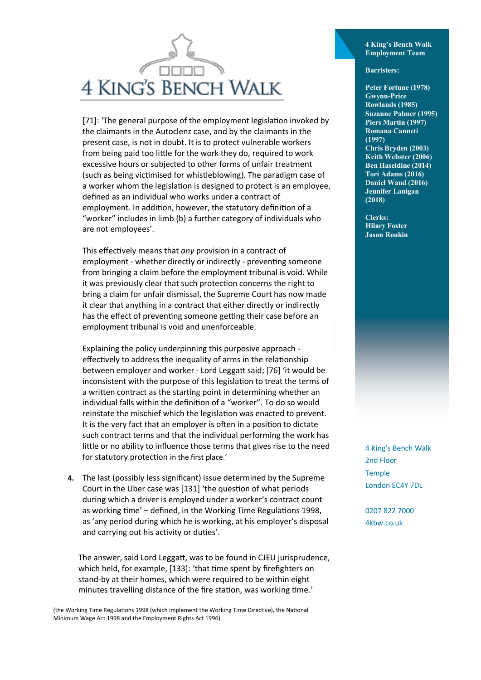## **4 KING'S BENCH WALK**

[71]: 'The general purpose of the employment legislation invoked by the claimants in the Autoclenz case, and by the claimants in the present case, is not in doubt. It is to protect vulnerable workers from being paid too little for the work they do, required to work excessive hours or subjected to other forms of unfair treatment (such as being victimised for whistleblowing). The paradigm case of a worker whom the legislation is designed to protect is an employee, defined as an individual who works under a contract of employment. In addition, however, the statutory definition of a "worker" includes in limb (b) a further category of individuals who are not employees'.

This effectively means that *any* provision in a contract of employment - whether directly or indirectly - preventing someone from bringing a claim before the employment tribunal is void. While it was previously clear that such protection concerns the right to bring a claim for unfair dismissal, the Supreme Court has now made it clear that anything in a contract that either directly or indirectly has the effect of preventing someone getting their case before an employment tribunal is void and unenforceable.

Explaining the policy underpinning this purposive approach effectively to address the inequality of arms in the relationship between employer and worker - Lord Leggatt said; [76] 'it would be inconsistent with the purpose of this legislation to treat the terms of a written contract as the starting point in determining whether an individual falls within the definition of a "worker". To do so would reinstate the mischief which the legislation was enacted to prevent. It is the very fact that an employer is often in a position to dictate such contract terms and that the individual performing the work has little or no ability to influence those terms that gives rise to the need for statutory protection in the first place.'

**4.** The last (possibly less significant) issue determined by the Supreme Court in the Uber case was [131] 'the question of what periods during which a driver is employed under a worker's contract count as working time' – defined, in the Working Time Regulations 1998, as 'any period during which he is working, at his employer's disposal and carrying out his activity or duties'.

The answer, said Lord Leggatt, was to be found in CJEU jurisprudence, which held, for example, [133]: 'that time spent by firefighters on stand-by at their homes, which were required to be within eight minutes travelling distance of the fire station, was working time.'

(the Working Time Regulations 1998 (which implement the Working Time Directive), the National Minimum Wage Act 1998 and the Employment Rights Act 1996).

**4 King's Bench Walk Employment Team** 

**Barristers:**

**Peter Fortune (1978) Gwynn-Price Rowlands (1985) Suzanne Palmer (1995) Piers Martin (1997) Romana Canneti (1997) Chris Bryden (2003) Keith Webster (2006) Ben Haseldine (2014) Tori Adams (2016) Daniel Wand (2016) Jennifer Lanigan (2018)** 

**Clerks: Hilary Foster Jason Roukin** 

4 King's Bench Walk 2nd Floor Temple London EC4Y 7DL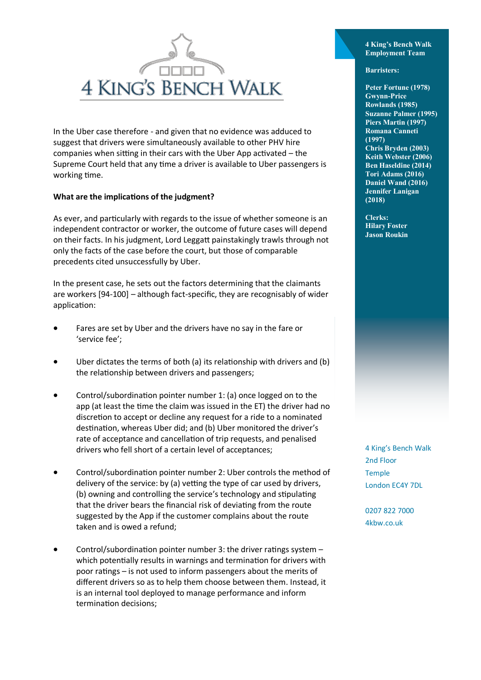

In the Uber case therefore - and given that no evidence was adduced to suggest that drivers were simultaneously available to other PHV hire companies when sitting in their cars with the Uber App activated – the Supreme Court held that any time a driver is available to Uber passengers is working time.

### **What are the implications of the judgment?**

As ever, and particularly with regards to the issue of whether someone is an independent contractor or worker, the outcome of future cases will depend on their facts. In his judgment, Lord Leggatt painstakingly trawls through not only the facts of the case before the court, but those of comparable precedents cited unsuccessfully by Uber.

In the present case, he sets out the factors determining that the claimants are workers [94-100] – although fact-specific, they are recognisably of wider application:

- Fares are set by Uber and the drivers have no say in the fare or 'service fee';
- Uber dictates the terms of both (a) its relationship with drivers and (b) the relationship between drivers and passengers;
- Control/subordination pointer number 1: (a) once logged on to the app (at least the time the claim was issued in the ET) the driver had no discretion to accept or decline any request for a ride to a nominated destination, whereas Uber did; and (b) Uber monitored the driver's rate of acceptance and cancellation of trip requests, and penalised drivers who fell short of a certain level of acceptances;
- Control/subordination pointer number 2: Uber controls the method of delivery of the service: by (a) vetting the type of car used by drivers, (b) owning and controlling the service's technology and stipulating that the driver bears the financial risk of deviating from the route suggested by the App if the customer complains about the route taken and is owed a refund;
- Control/subordination pointer number 3: the driver ratings system which potentially results in warnings and termination for drivers with poor ratings – is not used to inform passengers about the merits of different drivers so as to help them choose between them. Instead, it is an internal tool deployed to manage performance and inform termination decisions;

**4 King's Bench Walk Employment Team** 

**Barristers:**

**Peter Fortune (1978) Gwynn-Price Rowlands (1985) Suzanne Palmer (1995) Piers Martin (1997) Romana Canneti (1997) Chris Bryden (2003) Keith Webster (2006) Ben Haseldine (2014) Tori Adams (2016) Daniel Wand (2016) Jennifer Lanigan (2018)** 

**Clerks: Hilary Foster Jason Roukin** 

4 King's Bench Walk 2nd Floor Temple London EC4Y 7DL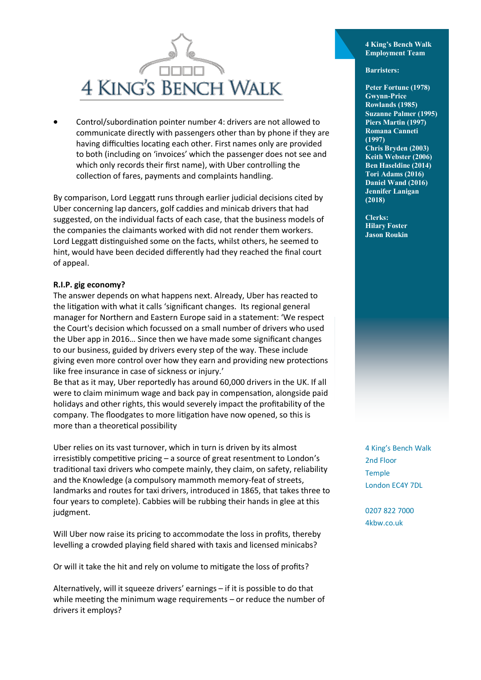# **4 KING'S BENCH WALK**

• Control/subordination pointer number 4: drivers are not allowed to communicate directly with passengers other than by phone if they are having difficulties locating each other. First names only are provided to both (including on 'invoices' which the passenger does not see and which only records their first name), with Uber controlling the collection of fares, payments and complaints handling.

By comparison, Lord Leggatt runs through earlier judicial decisions cited by Uber concerning lap dancers, golf caddies and minicab drivers that had suggested, on the individual facts of each case, that the business models of the companies the claimants worked with did not render them workers. Lord Leggatt distinguished some on the facts, whilst others, he seemed to hint, would have been decided differently had they reached the final court of appeal.

### **R.I.P. gig economy?**

The answer depends on what happens next. Already, Uber has reacted to the litigation with what it calls 'significant changes. Its regional general manager for Northern and Eastern Europe said in a statement: 'We respect the Court's decision which focussed on a small number of drivers who used the Uber app in 2016… Since then we have made some significant changes to our business, guided by drivers every step of the way. These include giving even more control over how they earn and providing new protections like free insurance in case of sickness or injury.'

Be that as it may, Uber reportedly has around 60,000 drivers in the UK. If all were to claim minimum wage and back pay in compensation, alongside paid holidays and other rights, this would severely impact the profitability of the company. The floodgates to more litigation have now opened, so this is more than a theoretical possibility

Uber relies on its vast turnover, which in turn is driven by its almost irresistibly competitive pricing – a source of great resentment to London's traditional taxi drivers who compete mainly, they claim, on safety, reliability and the Knowledge (a compulsory mammoth memory-feat of streets, landmarks and routes for taxi drivers, introduced in 1865, that takes three to four years to complete). Cabbies will be rubbing their hands in glee at this judgment.

Will Uber now raise its pricing to accommodate the loss in profits, thereby levelling a crowded playing field shared with taxis and licensed minicabs?

Or will it take the hit and rely on volume to mitigate the loss of profits?

Alternatively, will it squeeze drivers' earnings – if it is possible to do that while meeting the minimum wage requirements – or reduce the number of drivers it employs?

**4 King's Bench Walk Employment Team** 

#### **Barristers:**

**Peter Fortune (1978) Gwynn-Price Rowlands (1985) Suzanne Palmer (1995) Piers Martin (1997) Romana Canneti (1997) Chris Bryden (2003) Keith Webster (2006) Ben Haseldine (2014) Tori Adams (2016) Daniel Wand (2016) Jennifer Lanigan (2018)** 

**Clerks: Hilary Foster Jason Roukin** 

4 King's Bench Walk 2nd Floor Temple London EC4Y 7DL